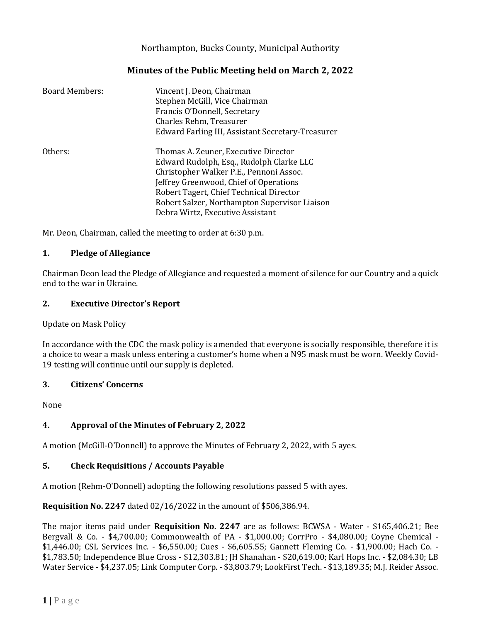Northampton, Bucks County, Municipal Authority

# **Minutes of the Public Meeting held on March 2, 2022**

| <b>Board Members:</b> | Vincent J. Deon, Chairman<br>Stephen McGill, Vice Chairman<br>Francis O'Donnell, Secretary<br>Charles Rehm, Treasurer<br>Edward Farling III, Assistant Secretary-Treasurer                                                                                                                            |
|-----------------------|-------------------------------------------------------------------------------------------------------------------------------------------------------------------------------------------------------------------------------------------------------------------------------------------------------|
| Others:               | Thomas A. Zeuner, Executive Director<br>Edward Rudolph, Esq., Rudolph Clarke LLC<br>Christopher Walker P.E., Pennoni Assoc.<br>Jeffrey Greenwood, Chief of Operations<br>Robert Tagert, Chief Technical Director<br>Robert Salzer, Northampton Supervisor Liaison<br>Debra Wirtz, Executive Assistant |

Mr. Deon, Chairman, called the meeting to order at 6:30 p.m.

## **1. Pledge of Allegiance**

Chairman Deon lead the Pledge of Allegiance and requested a moment of silence for our Country and a quick end to the war in Ukraine.

## **2. Executive Director's Report**

Update on Mask Policy

In accordance with the CDC the mask policy is amended that everyone is socially responsible, therefore it is a choice to wear a mask unless entering a customer's home when a N95 mask must be worn. Weekly Covid-19 testing will continue until our supply is depleted.

## **3. Citizens' Concerns**

None

## **4. Approval of the Minutes of February 2, 2022**

A motion (McGill-O'Donnell) to approve the Minutes of February 2, 2022, with 5 ayes.

## **5. Check Requisitions / Accounts Payable**

A motion (Rehm-O'Donnell) adopting the following resolutions passed 5 with ayes.

**Requisition No. 2247** dated 02/16/2022 in the amount of \$506,386.94.

The major items paid under **Requisition No. 2247** are as follows: BCWSA - Water - \$165,406.21; Bee Bergvall & Co. - \$4,700.00; Commonwealth of PA - \$1,000.00; CorrPro - \$4,080.00; Coyne Chemical - \$1,446.00; CSL Services Inc. - \$6,550.00; Cues - \$6,605.55; Gannett Fleming Co. - \$1,900.00; Hach Co. - \$1,783.50; Independence Blue Cross - \$12,303.81; JH Shanahan - \$20,619.00; Karl Hops Inc. - \$2,084.30; LB Water Service - \$4,237.05; Link Computer Corp. - \$3,803.79; LookFirst Tech. - \$13,189.35; M.J. Reider Assoc.